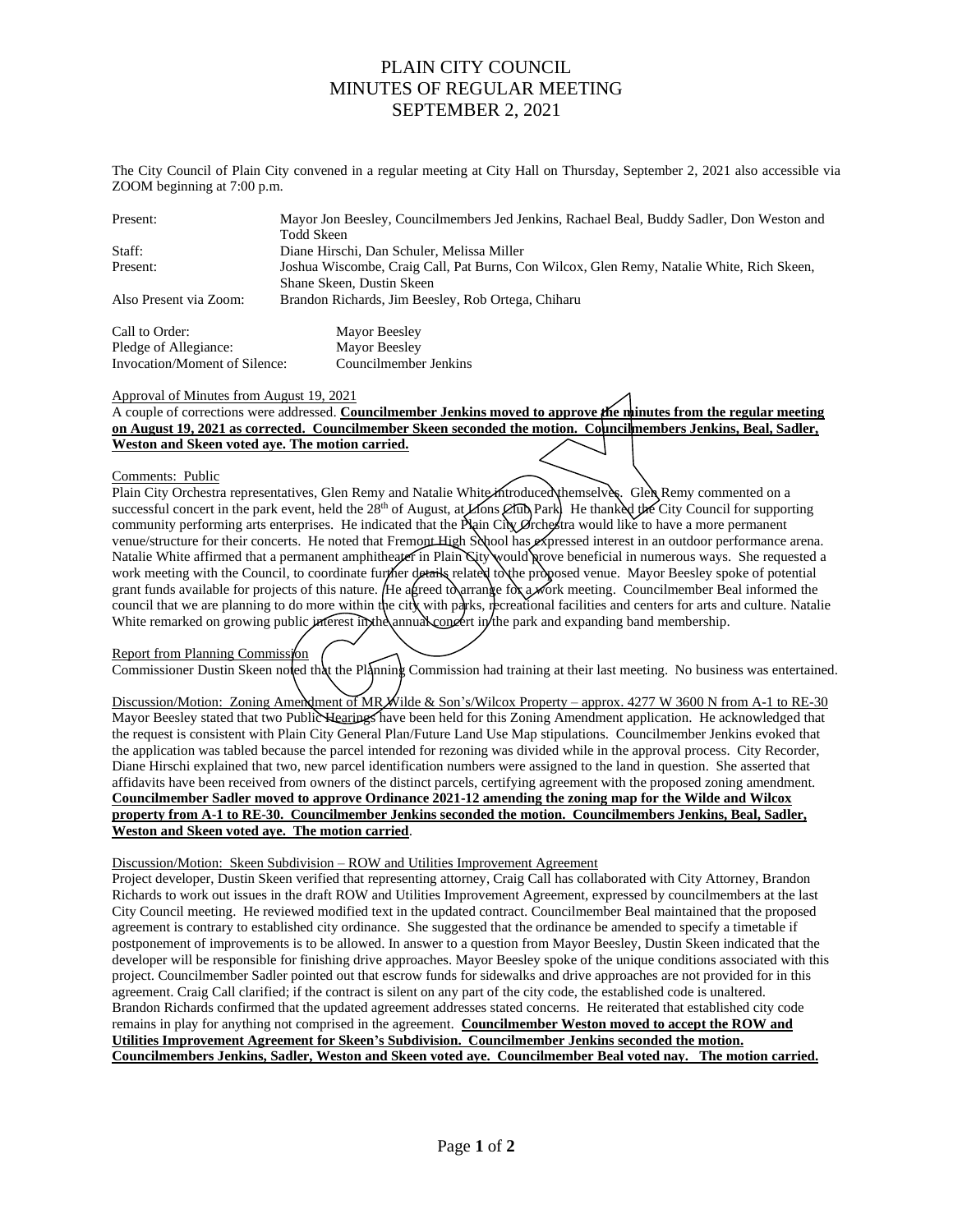## PLAIN CITY COUNCIL MINUTES OF REGULAR MEETING SEPTEMBER 2, 2021

The City Council of Plain City convened in a regular meeting at City Hall on Thursday, September 2, 2021 also accessible via ZOOM beginning at 7:00 p.m.

| Present:               | Mayor Jon Beesley, Councilmembers Jed Jenkins, Rachael Beal, Buddy Sadler, Don Weston and<br>Todd Skeen                |
|------------------------|------------------------------------------------------------------------------------------------------------------------|
| Staff:                 | Diane Hirschi, Dan Schuler, Melissa Miller                                                                             |
| Present:               | Joshua Wiscombe, Craig Call, Pat Burns, Con Wilcox, Glen Remy, Natalie White, Rich Skeen,<br>Shane Skeen, Dustin Skeen |
| Also Present via Zoom: | Brandon Richards, Jim Beesley, Rob Ortega, Chiharu                                                                     |
| Call to Order:         | Mayor Beesley                                                                                                          |

Pledge of Allegiance: Mayor Beesley Invocation/Moment of Silence: Councilmember Jenkins

### Approval of Minutes from August 19, 2021

A couple of corrections were addressed. **Councilmember Jenkins moved to approve the minutes from the regular meeting on August 19, 2021 as corrected. Councilmember Skeen seconded the motion. Councilmembers Jenkins, Beal, Sadler, Weston and Skeen voted aye. The motion carried.**

### Comments: Public

Plain City Orchestra representatives, Glen Remy and Natalie White introduced themselves. Glen Remy commented on a successful concert in the park event, held the  $28<sup>th</sup>$  of August, at Lions Club Park. He thanked the City Council for supporting community performing arts enterprises. He indicated that the Plain City Orchestra would like to have a more permanent venue/structure for their concerts. He noted that Fremont High School has expressed interest in an outdoor performance arena. Natalie White affirmed that a permanent amphitheater in Plain City would prove beneficial in numerous ways. She requested a work meeting with the Council, to coordinate further details related to the proposed venue. Mayor Beesley spoke of potential grant funds available for projects of this nature. He agreed to arrange for a work meeting. Councilmember Beal informed the council that we are planning to do more within the city with parks, recreational facilities and centers for arts and culture. Natalie White remarked on growing public interest in the annual concert in the park and expanding band membership.

Report from Planning Commission

Commissioner Dustin Skeen noted that the Planning Commission had training at their last meeting. No business was entertained.

Discussion/Motion: Zoning Amendment of MR Wilde & Son's/Wilcox Property – approx. 4277 W 3600 N from A-1 to RE-30 Mayor Beesley stated that two Public Hearings have been held for this Zoning Amendment application. He acknowledged that the request is consistent with Plain City General Plan/Future Land Use Map stipulations. Councilmember Jenkins evoked that the application was tabled because the parcel intended for rezoning was divided while in the approval process. City Recorder, Diane Hirschi explained that two, new parcel identification numbers were assigned to the land in question. She asserted that affidavits have been received from owners of the distinct parcels, certifying agreement with the proposed zoning amendment. **Councilmember Sadler moved to approve Ordinance 2021-12 amending the zoning map for the Wilde and Wilcox property from A-1 to RE-30. Councilmember Jenkins seconded the motion. Councilmembers Jenkins, Beal, Sadler, Weston and Skeen voted aye. The motion carried**.

Discussion/Motion: Skeen Subdivision – ROW and Utilities Improvement Agreement

Project developer, Dustin Skeen verified that representing attorney, Craig Call has collaborated with City Attorney, Brandon Richards to work out issues in the draft ROW and Utilities Improvement Agreement, expressed by councilmembers at the last City Council meeting. He reviewed modified text in the updated contract. Councilmember Beal maintained that the proposed agreement is contrary to established city ordinance. She suggested that the ordinance be amended to specify a timetable if postponement of improvements is to be allowed. In answer to a question from Mayor Beesley, Dustin Skeen indicated that the developer will be responsible for finishing drive approaches. Mayor Beesley spoke of the unique conditions associated with this project. Councilmember Sadler pointed out that escrow funds for sidewalks and drive approaches are not provided for in this agreement. Craig Call clarified; if the contract is silent on any part of the city code, the established code is unaltered. Brandon Richards confirmed that the updated agreement addresses stated concerns. He reiterated that established city code remains in play for anything not comprised in the agreement. **Councilmember Weston moved to accept the ROW and Utilities Improvement Agreement for Skeen's Subdivision. Councilmember Jenkins seconded the motion. Councilmembers Jenkins, Sadler, Weston and Skeen voted aye. Councilmember Beal voted nay. The motion carried.**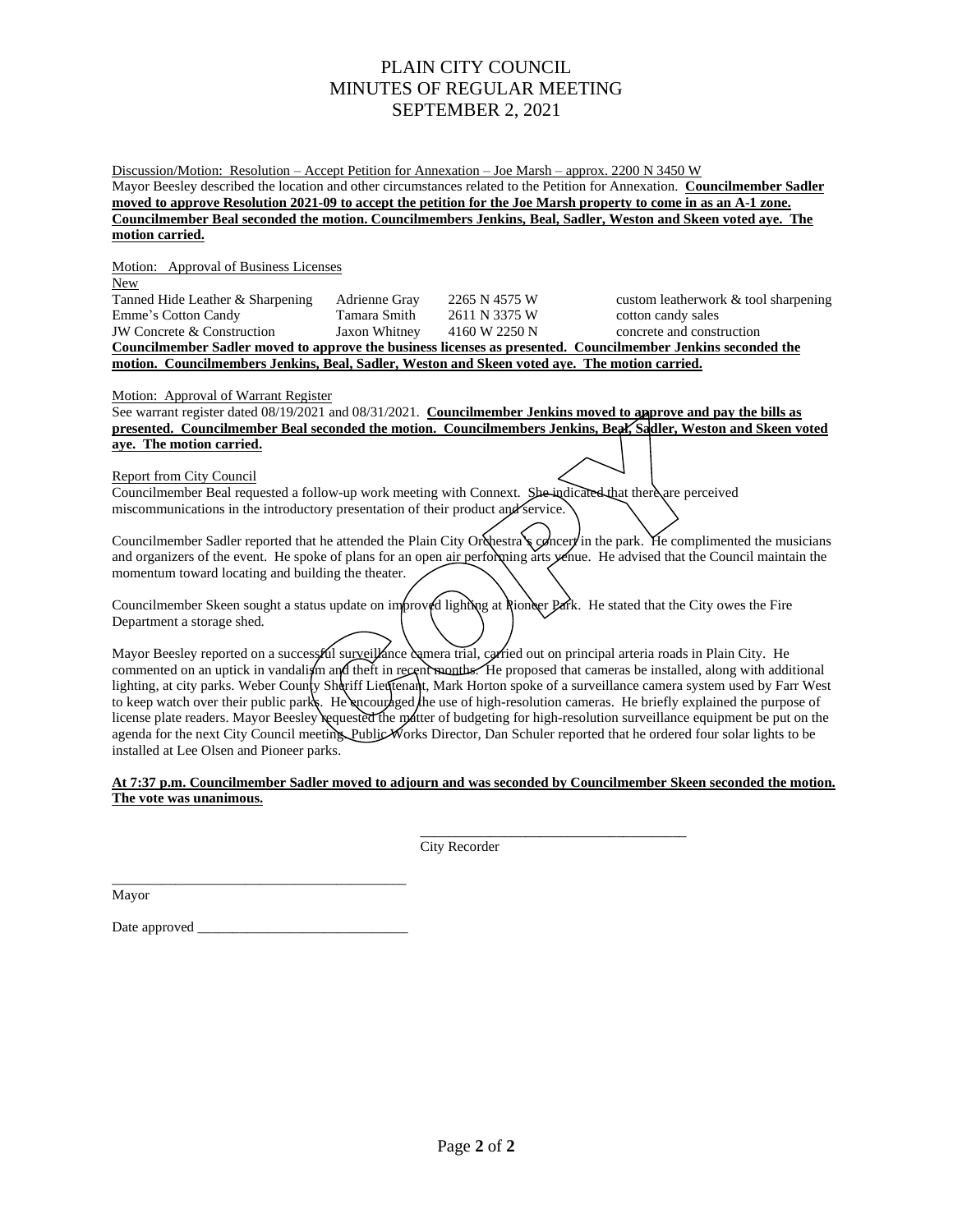# PLAIN CITY COUNCIL MINUTES OF REGULAR MEETING SEPTEMBER 2, 2021

Discussion/Motion: Resolution – Accept Petition for Annexation – Joe Marsh – approx. 2200 N 3450 W Mayor Beesley described the location and other circumstances related to the Petition for Annexation. **Councilmember Sadler moved to approve Resolution 2021-09 to accept the petition for the Joe Marsh property to come in as an A-1 zone. Councilmember Beal seconded the motion. Councilmembers Jenkins, Beal, Sadler, Weston and Skeen voted aye. The motion carried.**

Motion: Approval of Business Licenses

New Tanned Hide Leather & Sharpening Adrienne Gray 2265 N 4575 W custom leatherwork & tool sharpening Emme's Cotton Candy Tamara Smith 2611 N 3375 W cotton candy sales JW Concrete & Construction Jaxon Whitney 4160 W 2250 N concrete and construction **Councilmember Sadler moved to approve the business licenses as presented. Councilmember Jenkins seconded the motion. Councilmembers Jenkins, Beal, Sadler, Weston and Skeen voted aye. The motion carried.**

Motion: Approval of Warrant Register

See warrant register dated 08/19/2021 and 08/31/2021. **Councilmember Jenkins moved to approve and pay the bills as presented. Councilmember Beal seconded the motion. Councilmembers Jenkins, Beal, Sadler, Weston and Skeen voted aye. The motion carried.**

### Report from City Council

Councilmember Beal requested a follow-up work meeting with Connext. She-indicated that there are perceived miscommunications in the introductory presentation of their product and service.

Councilmember Sadler reported that he attended the Plain City Orchestra's concert in the park. He complimented the musicians and organizers of the event. He spoke of plans for an open air performing arts yenue. He advised that the Council maintain the momentum toward locating and building the theater.

Councilmember Skeen sought a status update on improved lighting at Rioneer Park. He stated that the City owes the Fire Department a storage shed.

Mayor Beesley reported on a successful surveillance camera trial, carried out on principal arteria roads in Plain City. He commented on an uptick in vandalism and theft in recent months. He proposed that cameras be installed, along with additional lighting, at city parks. Weber County Shariff Lieutenant, Mark Horton spoke of a surveillance camera system used by Farr West to keep watch over their public parks. He encouraged the use of high-resolution cameras. He briefly explained the purpose of license plate readers. Mayor Beesley requested the matter of budgeting for high-resolution surveillance equipment be put on the agenda for the next City Council meeting. Public Works Director, Dan Schuler reported that he ordered four solar lights to be installed at Lee Olsen and Pioneer parks.

### **At 7:37 p.m. Councilmember Sadler moved to adjourn and was seconded by Councilmember Skeen seconded the motion. The vote was unanimous.**

 $\mathcal{L}_\mathcal{L}$  , which is a set of the set of the set of the set of the set of the set of the set of the set of the set of the set of the set of the set of the set of the set of the set of the set of the set of the set of City Recorder

Mayor

Date approved

\_\_\_\_\_\_\_\_\_\_\_\_\_\_\_\_\_\_\_\_\_\_\_\_\_\_\_\_\_\_\_\_\_\_\_\_\_\_\_\_\_\_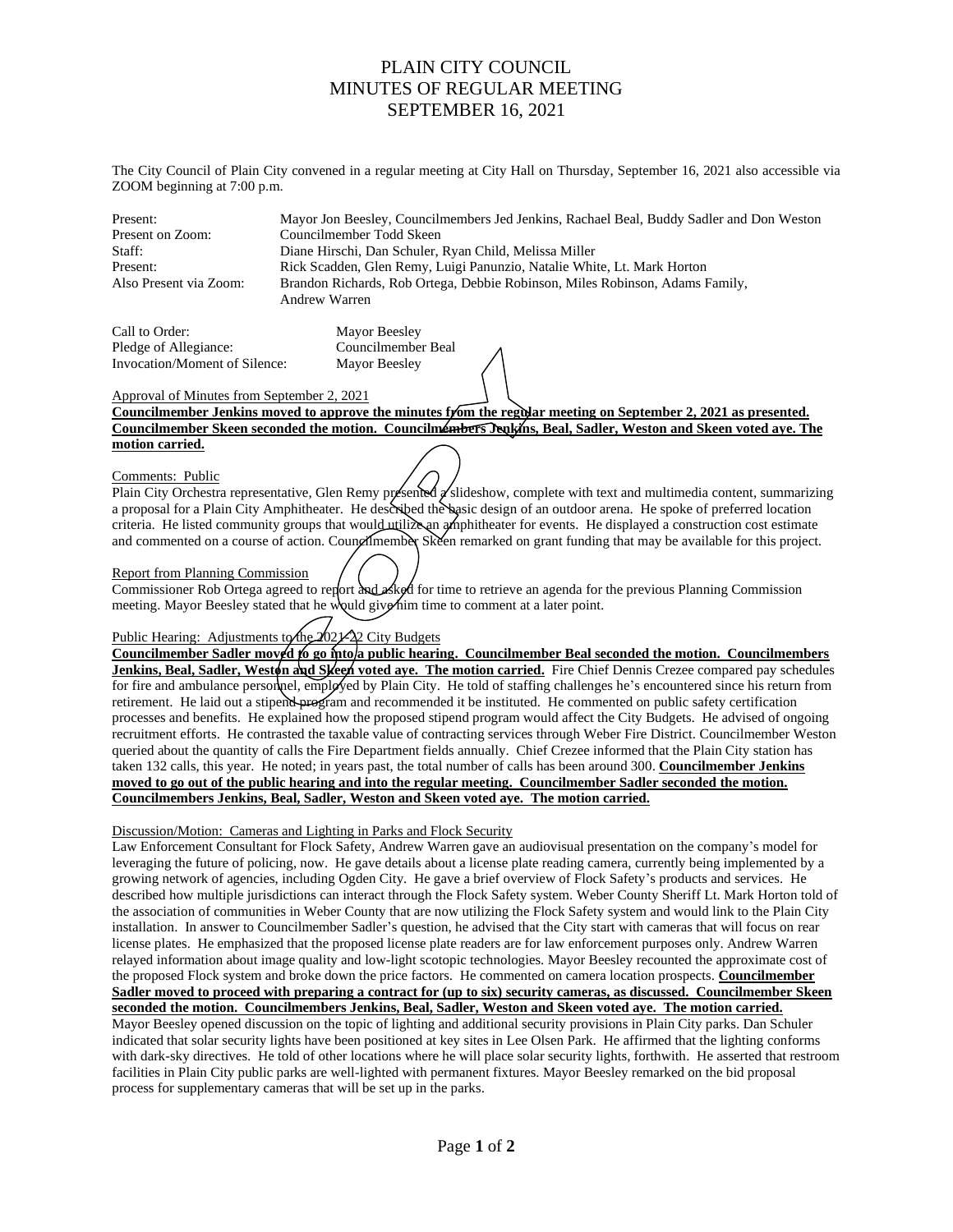## PLAIN CITY COUNCIL MINUTES OF REGULAR MEETING SEPTEMBER 16, 2021

The City Council of Plain City convened in a regular meeting at City Hall on Thursday, September 16, 2021 also accessible via ZOOM beginning at 7:00 p.m.

Present: Mayor Jon Beesley, Councilmembers Jed Jenkins, Rachael Beal, Buddy Sadler and Don Weston Present on Zoom: Councilmember Todd Skeen Staff: Diane Hirschi, Dan Schuler, Ryan Child, Melissa Miller Present: Rick Scadden, Glen Remy, Luigi Panunzio, Natalie White, Lt. Mark Horton Also Present via Zoom: Brandon Richards, Rob Ortega, Debbie Robinson, Miles Robinson, Adams Family, Andrew Warren

Call to Order: Mayor Beesley Pledge of Allegiance: Councilmember Beal Invocation/Moment of Silence: Mayor Beesley

## Approval of Minutes from September 2, 2021

**Councilmember Jenkins moved to approve the minutes from the regular meeting on September 2, 2021 as presented. Councilmember Skeen seconded the motion. Councilmembers Jenkins, Beal, Sadler, Weston and Skeen voted aye. The motion carried.**

### Comments: Public

Plain City Orchestra representative, Glen Remy presented  $\alpha$  slideshow, complete with text and multimedia content, summarizing a proposal for a Plain City Amphitheater. He described the basic design of an outdoor arena. He spoke of preferred location criteria. He listed community groups that would utilize an amphitheater for events. He displayed a construction cost estimate and commented on a course of action. Councilmember Skeen remarked on grant funding that may be available for this project.

## Report from Planning Commission

Commissioner Rob Ortega agreed to report and a ked for time to retrieve an agenda for the previous Planning Commission meeting. Mayor Beesley stated that he would give him time to comment at a later point.

## Public Hearing: Adjustments to the  $\sqrt{2}$  City Budgets

Councilmember Sadler moved to go into/a public hearing. Councilmember Beal seconded the motion. Councilmembers **Jenkins, Beal, Sadler, Weston and Skeen voted aye. The motion carried.** Fire Chief Dennis Crezee compared pay schedules for fire and ambulance personnel, employed by Plain City. He told of staffing challenges he's encountered since his return from retirement. He laid out a stipend program and recommended it be instituted. He commented on public safety certification processes and benefits. He explained how the proposed stipend program would affect the City Budgets. He advised of ongoing recruitment efforts. He contrasted the taxable value of contracting services through Weber Fire District. Councilmember Weston queried about the quantity of calls the Fire Department fields annually. Chief Crezee informed that the Plain City station has taken 132 calls, this year. He noted; in years past, the total number of calls has been around 300. **Councilmember Jenkins moved to go out of the public hearing and into the regular meeting. Councilmember Sadler seconded the motion. Councilmembers Jenkins, Beal, Sadler, Weston and Skeen voted aye. The motion carried.**

## Discussion/Motion: Cameras and Lighting in Parks and Flock Security

process for supplementary cameras that will be set up in the parks.

Law Enforcement Consultant for Flock Safety, Andrew Warren gave an audiovisual presentation on the company's model for leveraging the future of policing, now. He gave details about a license plate reading camera, currently being implemented by a growing network of agencies, including Ogden City. He gave a brief overview of Flock Safety's products and services. He described how multiple jurisdictions can interact through the Flock Safety system. Weber County Sheriff Lt. Mark Horton told of the association of communities in Weber County that are now utilizing the Flock Safety system and would link to the Plain City installation. In answer to Councilmember Sadler's question, he advised that the City start with cameras that will focus on rear license plates. He emphasized that the proposed license plate readers are for law enforcement purposes only. Andrew Warren relayed information about image quality and low-light scotopic technologies. Mayor Beesley recounted the approximate cost of the proposed Flock system and broke down the price factors. He commented on camera location prospects. **Councilmember Sadler moved to proceed with preparing a contract for (up to six) security cameras, as discussed. Councilmember Skeen seconded the motion. Councilmembers Jenkins, Beal, Sadler, Weston and Skeen voted aye. The motion carried.** Mayor Beesley opened discussion on the topic of lighting and additional security provisions in Plain City parks. Dan Schuler indicated that solar security lights have been positioned at key sites in Lee Olsen Park. He affirmed that the lighting conforms with dark-sky directives. He told of other locations where he will place solar security lights, forthwith. He asserted that restroom facilities in Plain City public parks are well-lighted with permanent fixtures. Mayor Beesley remarked on the bid proposal